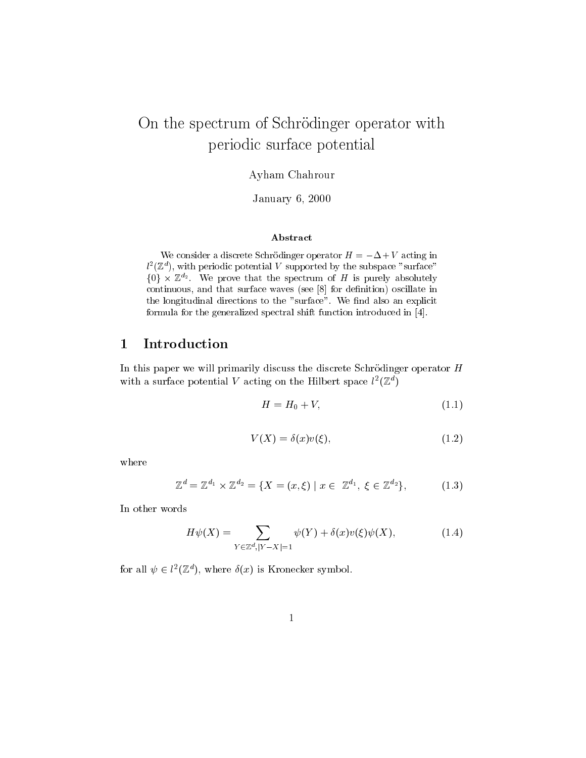# On the spectrum of Schrodinger operator with periodic surface potential

Ayham Chahrour

January 6, 2000

#### Abstract

We consider a discrete Schrodinger operator  $H = \pm \Delta \pm V$  acting in  $l^-(\mathbb{Z}^+)$ , with periodic potential  $V$  supported by the subspace  $\,$  surface  $\,$  $\{0\} \times \mathbb{Z}^{d_2}$ . We prove that the spectrum of H is purely absolutely continuous, and that surface waves (see [8] for definition) oscillate in the longitudinal directions to the "surface". We nd also an explicit formula for the generalized spectral shift function introduced in [4].

# <sup>1</sup> Introduction

In this paper we will primarily discuss the discrete Schrödinger operator H with a surface potential v acting on the Hilbert space  $\iota^-(\mathbb{Z}^+)$ 

$$
H = H_0 + V,\tag{1.1}
$$

$$
V(X) = \delta(x)v(\xi),\tag{1.2}
$$

where

$$
\mathbb{Z}^{d} = \mathbb{Z}^{d_1} \times \mathbb{Z}^{d_2} = \{ X = (x, \xi) \mid x \in \mathbb{Z}^{d_1}, \xi \in \mathbb{Z}^{d_2} \},
$$
 (1.3)

In other words

$$
H\psi(X) = \sum_{Y \in \mathbb{Z}^d, |Y - X| = 1} \psi(Y) + \delta(x)v(\xi)\psi(X),\tag{1.4}
$$

for all  $\psi \in l^2(\mathbb{Z}^n)$ , where  $\delta(x)$  is Kronecker symbol.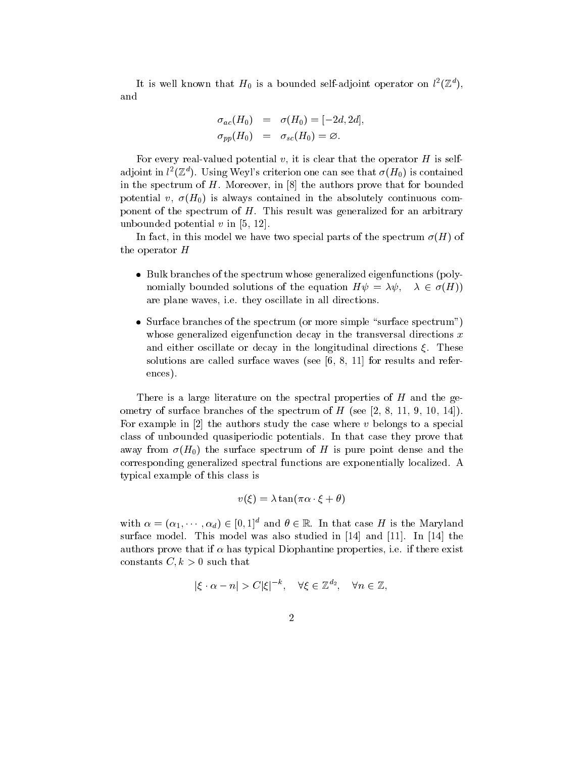It is well known that  $H_0$  is a bounded self-adjoint operator on  $\iota^-(\mathbb{Z}^+),$ and

$$
\sigma_{ac}(H_0) = \sigma(H_0) = [-2d, 2d],
$$
  
\n
$$
\sigma_{pp}(H_0) = \sigma_{sc}(H_0) = \varnothing.
$$

For every real-valued potential v, it is clear that the operator  $H$  is selfadjoint in  $l^2(\mathbb{Z}^d)$ . Using Weyl's criterion one can see that  $\sigma(H_0)$  is contained in the spectrum of  $H$ . Moreover, in  $[8]$  the authors prove that for bounded potential v,  $\sigma(H_0)$  is always contained in the absolutely continuous component of the spectrum of  $H$ . This result was generalized for an arbitrary unbounded potential  $v$  in [5, 12].

In fact, in this model we have two special parts of the spectrum  $\sigma(H)$  of the operator H

- $\bullet$  -Bulk branches of the spectrum whose generalized eigenfunctions (polynomially bounded solutions of the equation  $H\psi = \lambda \psi, \quad \lambda \in \sigma(H)$ are plane waves, i.e. they oscillate in all directions.
- $\bullet$  Surface branches of the spectrum (or more simple "surface spectrum") whose generalized eigenfunction decay in the transversal directions  $x$ and either oscillate or decay in the longitudinal directions  $\xi$ . These solutions are called surface waves (see [6, 8, 11] for results and references).

There is a large literature on the spectral properties of  $H$  and the geometry of surface branches of the spectrum of  $H$  (see [2, 8, 11, 9, 10, 14]). For example in [2] the authors study the case where v belongs to a special class of unbounded quasiperiodic potentials. In that case they prove that away from  $\sigma(H_0)$  the surface spectrum of H is pure point dense and the corresponding generalized spectral functions are exponentially localized. A typical example of this class is

$$
v(\xi) = \lambda \tan(\pi \alpha \cdot \xi + \theta)
$$

with  $\alpha = (\alpha_1, \dots, \alpha_d) \in [0, 1]^d$  and  $\theta \in \mathbb{R}$ . In that case H is the Maryland surface model. This model was also studied in [14] and [11]. In [14] the authors prove that if  $\alpha$  has typical Diophantine properties, i.e. if there exist constants  $C, k > 0$  such that

$$
|\xi \cdot \alpha - n| > C|\xi|^{-k}, \quad \forall \xi \in \mathbb{Z}^{d_2}, \quad \forall n \in \mathbb{Z},
$$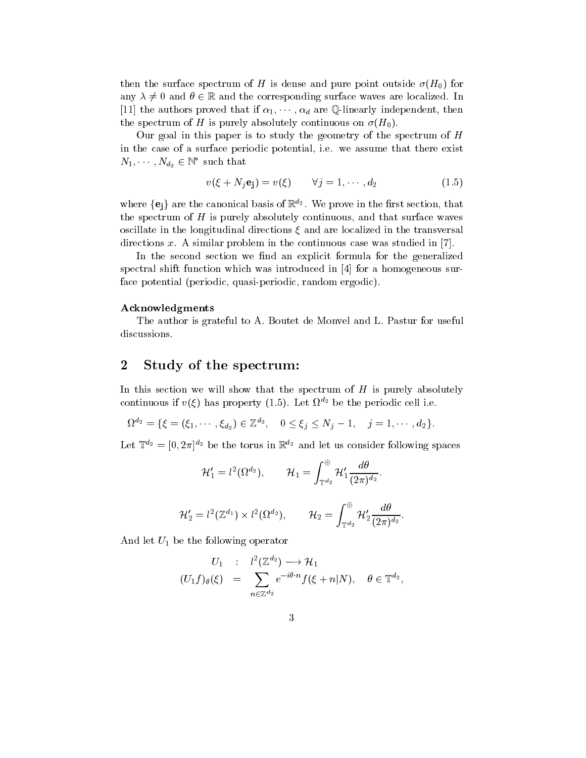then the surface spectrum of H is dense and pure point outside  $\sigma(H_0)$  for any  $\lambda \neq 0$  and  $\theta \in \mathbb{R}$  and the corresponding surface waves are localized. In [11] the authors proved that if  $\alpha_1, \cdots, \alpha_d$  are Q-linearly independent, then the spectrum of H is purely absolutely continuous on  $\sigma(H_0)$ .

Our goal in this paper is to study the geometry of the spectrum of  $H$ in the case of a surface periodic potential, i.e. we assume that there exist  $N_1, \cdots, N_{d_2} \in \mathbb{N}^*$  such that

$$
v(\xi + N_j \mathbf{e_j}) = v(\xi) \qquad \forall j = 1, \cdots, d_2 \tag{1.5}
$$

where  $\{ {\bf e_i} \}$  are the canonical basis of  $\mathbb{R}^{d_2}$  . We prove in the first section, that the spectrum of  $H$  is purely absolutely continuous, and that surface waves oscillate in the longitudinal directions  $\xi$  and are localized in the transversal directions x. A similar problem in the continuous case was studied in [7].

In the second section we find an explicit formula for the generalized spectral shift function which was introduced in [4] for a homogeneous surface potential (periodic, quasi-periodic, random ergodic).

#### Acknowledgments

The author is grateful to A. Boutet de Monvel and L. Pastur for useful discussions.

# <sup>2</sup> Study of the spectrum:

In this section we will show that the spectrum of  $H$  is purely absolutely continuous if  $v(\xi)$  has property (1.5). Let  $\Omega$   $\stackrel{\textstyle >}{\textstyle \sim}$  be the periodic cell i.e.

$$
\Omega^{d_2} = \{ \xi = (\xi_1, \cdots, \xi_{d_2}) \in \mathbb{Z}^{d_2}, \quad 0 \leq \xi_j \leq N_j - 1, \quad j = 1, \cdots, d_2 \}.
$$

Let  $\mathbb{T}^{d_2} = [0, 2\pi]^{d_2}$  be the torus in  $\mathbb{R}^{d_2}$  and let us consider following spaces

$$
\mathcal{H}_1'=l^2(\Omega^{d_2}),\qquad \mathcal{H}_1=\int_{\mathbb{T}^{d_2}}^{\oplus}\mathcal{H}_1'\frac{d\theta}{(2\pi)^{d_2}}.
$$

$$
\mathcal{H}_2'=l^2(\mathbb{Z}^{d_1})\times l^2(\Omega^{d_2}),\qquad \mathcal{H}_2=\int_{\mathbb{T}^{d_2}}^{\oplus}\mathcal{H}_2'\frac{d\theta}{(2\pi)^{d_2}}.
$$

And let  $U_1$  be the following operator

$$
U_1 : l^2(\mathbb{Z}^{d_2}) \longrightarrow \mathcal{H}_1
$$
  

$$
(U_1 f)_{\theta}(\xi) = \sum_{n \in \mathbb{Z}^{d_2}} e^{-i\theta \cdot n} f(\xi + n|N), \quad \theta \in \mathbb{T}^{d_2},
$$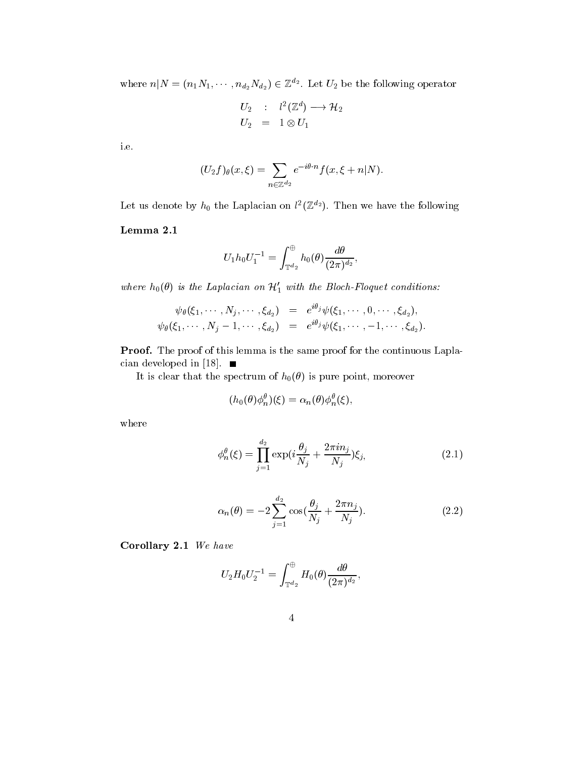where  $n|N = (n_1N_1, \cdots, n_{d_2}N_{d_2}) \in \mathbb{Z}^{d_2}$ . Let  $U_2$  be the following operator

$$
\begin{array}{ccc} U_2 & : & l^2(\mathbb{Z}^d) \longrightarrow \mathcal{H}_2 \\ U_2 & = & 1 \otimes U_1 \end{array}
$$

i.e.

$$
(U_2f)_{\theta}(x,\xi)=\sum_{n\in\mathbb{Z}^{d_2}}e^{-i\theta\cdot n}f(x,\xi+n|N).
$$

Let us denote by  $n_0$  the Laplacian on  $\iota$  ( $\mathbb{Z}$   $^2$ ). Then we have the following

#### Lemma 2.1

$$
U_1 h_0 U_1^{-1} = \int_{\mathbb{T}^{d_2}}^{\oplus} h_0(\theta) \frac{d\theta}{(2\pi)^{d_2}},
$$

where  $h_0(\theta)$  is the Laplacian on  $\mathcal{H}_1'$  with the Bloch-Floquet conditions:

$$
\psi_{\theta}(\xi_1, \cdots, N_j, \cdots, \xi_{d_2}) \;\; = \;\; e^{i \theta_j} \psi(\xi_1, \cdots, 0, \cdots, \xi_{d_2}),\\ \psi_{\theta}(\xi_1, \cdots, N_j-1, \cdots, \xi_{d_2}) \;\; = \;\; e^{i \theta_j} \psi(\xi_1, \cdots, -1, \cdots, \xi_{d_2}).
$$

Proof. The proof of this lemma is the same proof for the continuous Laplacian developed in [18].  $\blacksquare$ 

It is clear that the spectrum of  $h_0(\theta)$  is pure point, moreover

$$
(h_0(\theta)\phi_n^{\theta})(\xi) = \alpha_n(\theta)\phi_n^{\theta}(\xi),
$$

where

$$
\phi_n^{\theta}(\xi) = \prod_{j=1}^{d_2} \exp\left(i\frac{\theta_j}{N_j} + \frac{2\pi i n_j}{N_j}\right)\xi_j,\tag{2.1}
$$

$$
\alpha_n(\theta) = -2 \sum_{j=1}^{d_2} \cos(\frac{\theta_j}{N_j} + \frac{2\pi n_j}{N_j}).
$$
\n(2.2)

Corollary 2.1 We have

$$
U_2 H_0 U_2^{-1} = \int_{\mathbb{T}^{d_2}}^{\oplus} H_0(\theta) \frac{d\theta}{(2\pi)^{d_2}},
$$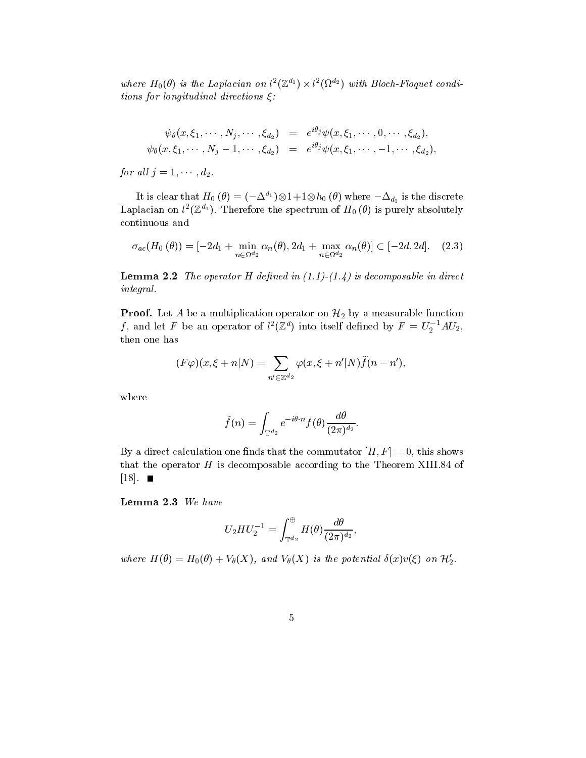where  $H_0(\theta)$  is the Laplacian on  $l^*(\mathbb{Z}^{n_1})\times l^*(\Omega^{n_2})$  with Bloch-Floquet conditions for longitudinal directions  $\xi$ :

$$
\psi_{\theta}(x,\xi_1,\cdots,N_j,\cdots,\xi_{d_2})\;\;=\;\;e^{i\theta_j}\psi(x,\xi_1,\cdots,0,\cdots,\xi_{d_2}),\\ \psi_{\theta}(x,\xi_1,\cdots,N_j-1,\cdots,\xi_{d_2})\;\;=\;\;e^{i\theta_j}\psi(x,\xi_1,\cdots,-1,\cdots,\xi_{d_2}),
$$

for all  $j = 1, \cdots, d_2$ .

It is clear that  $H_0$   $(\theta)=(-\Delta^{a_1})\otimes 1+1\otimes h_0$   $(\theta)$  where  $-\Delta_{d_1}$  is the discrete Laplacian on  $\iota^-(\mathbb{Z}^{n})$ . Therefore the spectrum of  $H_0$  ( $\sigma$ ) is purely absolutely continuous and

$$
\sigma_{ac}(H_0(\theta)) = [-2d_1 + \min_{n \in \Omega^d 2} \alpha_n(\theta), 2d_1 + \max_{n \in \Omega^d 2} \alpha_n(\theta)] \subset [-2d, 2d]. \quad (2.3)
$$

**Lemma 2.2** The operator H defined in  $(1.1)-(1.4)$  is decomposable in direct integral.

**Proof.** Let A be a multiplication operator on  $\mathcal{H}_2$  by a measurable function *J*, and let *F* be an operator of  $l^2(\mathbb{Z}^n)$  into itself defined by  $F = U_2^{-1} A U_2$ , then one has

$$
(F\varphi)(x,\xi+n|N) = \sum_{n' \in \mathbb{Z}^{d_2}} \varphi(x,\xi+n'|N)\widetilde{f}(n-n'),
$$

where

$$
\tilde{f}(n) = \int_{\mathbb{T}^{d_2}} e^{-i\theta \cdot n} f(\theta) \frac{d\theta}{(2\pi)^{d_2}}.
$$

By a direct calculation one finds that the commutator  $[H, F] = 0$ , this shows that the operator  $H$  is decomposable according to the Theorem XIII.84 of  $[18]$ .  $\blacksquare$ 

Lemma 2.3 We have

$$
U_2 H U_2^{-1} = \int_{\mathbb{T}^{d_2}}^{\oplus} H(\theta) \frac{d\theta}{(2\pi)^{d_2}},
$$

where  $H(\theta) = H_0(\theta) + V_{\theta}(X)$ , and  $V_{\theta}(X)$  is the potential  $\delta(x)v(\xi)$  on  $\mathcal{H}'_2$ .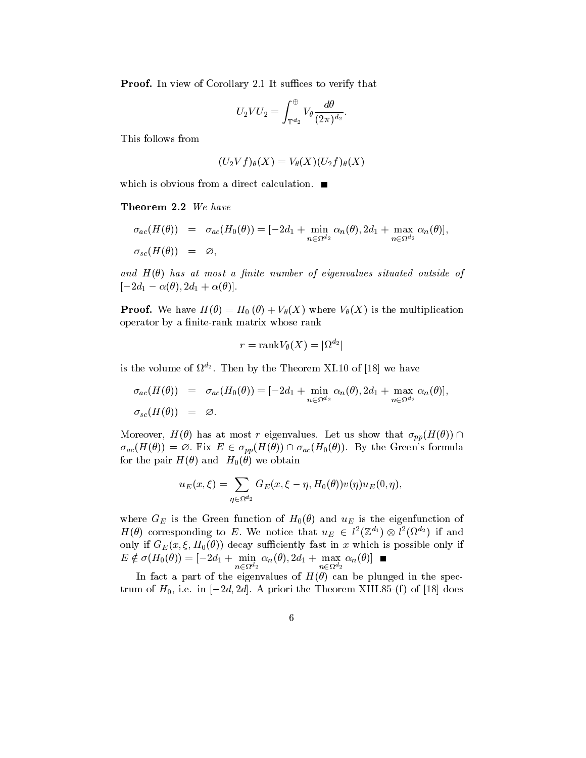Proof. In view of Corollary 2.1 It suffices to verify that

$$
U_2 V U_2 = \int_{\mathbb{T}^{d_2}}^{\oplus} V_\theta \frac{d\theta}{(2\pi)^{d_2}}.
$$

This follows from

$$
(U_2Vf)_{\theta}(X)=V_{\theta}(X)(U_2f)_{\theta}(X)
$$

which is obvious from a direct calculation.  $\blacksquare$ 

Theorem 2.2 We have

$$
\sigma_{ac}(H(\theta)) = \sigma_{ac}(H_0(\theta)) = [-2d_1 + \min_{n \in \Omega^{d_2}} \alpha_n(\theta), 2d_1 + \max_{n \in \Omega^{d_2}} \alpha_n(\theta)],
$$
  

$$
\sigma_{sc}(H(\theta)) = \varnothing,
$$

and  $H(\theta)$  has at most a finite number of eigenvalues situated outside of  $[-2d_1 - \alpha(\theta), 2d_1 + \alpha(\theta)].$ 

**Proof.** We have  $H(\theta) = H_0(\theta) + V_{\theta}(X)$  where  $V_{\theta}(X)$  is the multiplication operator by a finite-rank matrix whose rank

$$
r=\mathrm{rank}\, V_\theta(X)=|\Omega^{d_2}|
$$

is the volume of  $\Omega_{\alpha}$ . Then by the Theorem  $\Delta$ 1.10 of [18] we have

$$
\sigma_{ac}(H(\theta)) = \sigma_{ac}(H_0(\theta)) = [-2d_1 + \min_{n \in \Omega^{d_2}} \alpha_n(\theta), 2d_1 + \max_{n \in \Omega^{d_2}} \alpha_n(\theta)],
$$
  

$$
\sigma_{sc}(H(\theta)) = \varnothing.
$$

Moreover,  $H(\theta)$  has at most r eigenvalues. Let us show that  $\sigma_{pp}(H(\theta)) \cap$  $\sigma_{ac}(H(\theta)) = \varnothing$ . Fix  $E \in \sigma_{pp}(H(\theta)) \cap \sigma_{ac}(H_0(\theta))$ . By the Green's formula for the pair  $H(\theta)$  and  $H_0(\theta)$  we obtain

$$
u_E(x,\xi)=\sum_{\eta\in\Omega^{d_2}}G_E(x,\xi-\eta,H_0(\theta))v(\eta)u_E(0,\eta),
$$

where  $G_E$  is the Green function of  $H_0(\theta)$  and  $u_E$  is the eigenfunction of  $H(\theta)$  corresponding to E. We notice that  $u_E \in l^2(\mathbb{Z}^{u_1}) \otimes l^2(\Omega^{u_2})$  if and only if  $G_E(x, \xi, H_0(\theta))$  decay sufficiently fast in x which is possible only if  $E \notin \sigma(H_0(\theta)) = [-2d_1 + \min_{n \in \Omega^{d_2}} \alpha_n(\theta), 2d_1 + \max_{n \in \Omega^{d_2}} \alpha_n(\theta)]$ 

In fact a part of the eigenvalues of  $H(\theta)$  can be plunged in the spectrum of  $H_0$ , i.e. in  $[-2d, 2d]$ . A priori the Theorem XIII.85-(f) of [18] does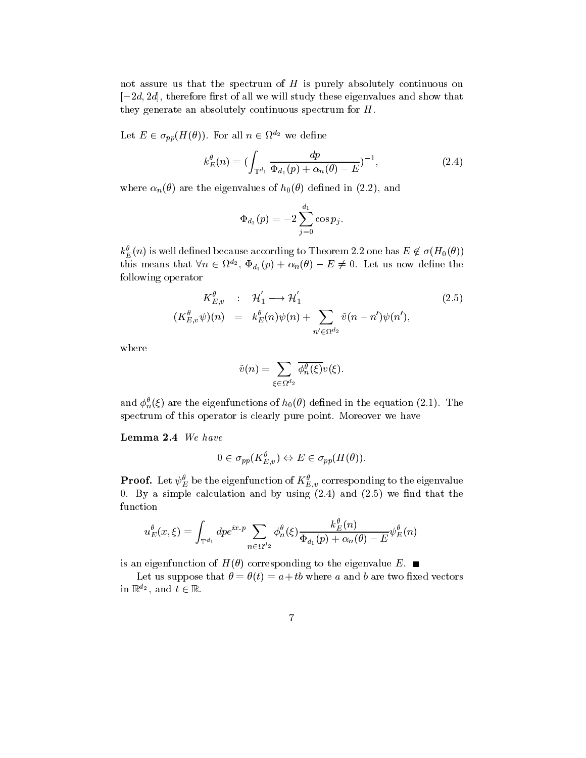not assure us that the spectrum of  $H$  is purely absolutely continuous on  $[-2d, 2d]$ , therefore first of all we will study these eigenvalues and show that they generate an absolutely continuous spectrum for H.

Let  $E \in \sigma_{pp}(H(\theta))$ . For all  $n \in \Omega^{u_2}$  we define

$$
k_E^{\theta}(n) = \left(\int_{\mathbb{T}^{d_1}} \frac{dp}{\Phi_{d_1}(p) + \alpha_n(\theta) - E}\right)^{-1},\tag{2.4}
$$

where  $\alpha_n(\theta)$  are the eigenvalues of  $h_0(\theta)$  defined in (2.2), and

$$
\Phi_{d_1}(p) = -2 \sum_{j=0}^{d_1} \cos p_j.
$$

 $k_E^{\theta}(n)$  is well defined because according to Theorem 2.2 one has  $E\not\in \sigma(H_0(\theta))$ this means that  $\forall n \in \Omega^{d_2}$ ,  $\Phi_{d_1}(p) + \alpha_n(\theta) - E \neq 0$ . Let us now define the following operator

$$
K_{E,v}^{\theta} : \mathcal{H}'_1 \longrightarrow \mathcal{H}'_1 \qquad (2.5)
$$
  

$$
(K_{E,v}^{\theta}\psi)(n) = k_E^{\theta}(n)\psi(n) + \sum_{n' \in \Omega^{d_2}} \tilde{v}(n - n')\psi(n'),
$$

where

$$
\tilde{v}(n)=\sum_{\xi\in\Omega^{d_2}}\overline{\phi^{\theta}_n(\xi)}v(\xi).
$$

and  $\phi_n^{\theta}(\xi)$  are the eigenfunctions of  $h_0(\theta)$  defined in the equation (2.1). The spectrum of this operator is clearly pure point. Moreover we have

Lemma 2.4 We have

$$
0 \in \sigma_{pp}(K_{E,v}^{\theta}) \Leftrightarrow E \in \sigma_{pp}(H(\theta)).
$$

**Proof.** Let  $\psi_E$  be the eigenfunction of  $\mathbf{A}_{E,v}$  corresponding to the eigenvalue 0. By a simple calculation and by using  $(2.4)$  and  $(2.5)$  we find that the function

$$
u^\theta_E(x,\xi)=\int_{\mathbb{T}^{d_1}} dpe^{ix\cdot p}\sum_{n\in \Omega^{d_2}} \phi^\theta_n(\xi)\frac{k_E^\theta(n)}{\Phi_{d_1}(p)+\alpha_n(\theta)-E}\psi_E^\theta(n)
$$

is an eigenfunction of  $H(\theta)$  corresponding to the eigenvalue E.

Let us suppose that  $\theta = \theta(t) = a + tb$  where a and b are two fixed vectors in  $\mathbb{R}^{a_2}$ , and  $t \in \mathbb{R}$ .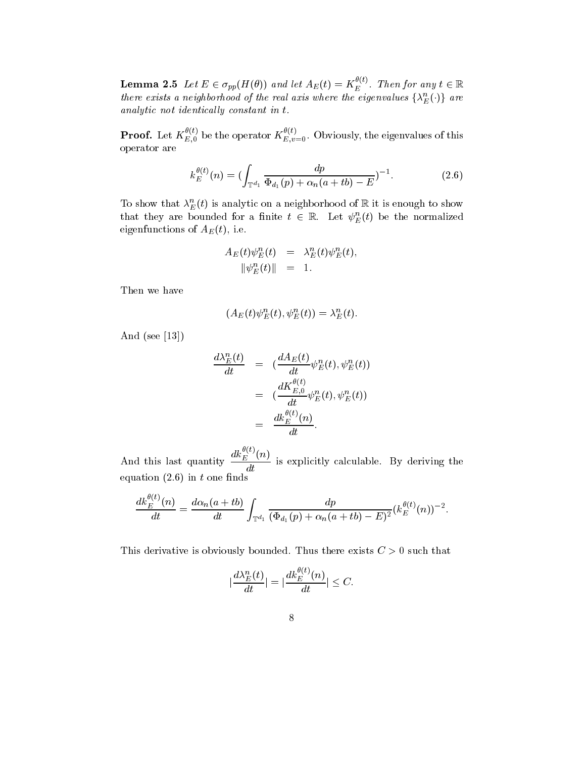**Lemma 2.5** Let  $E \in \sigma_{pp}(H(\theta))$  and let  $A_E(t) = K_E^{\sim}$ . Then for any  $t \in \mathbb{R}$ there exists a neighborhood of the real axis where the eigenvalues  $\{\lambda_{E}^{n}(\cdot)\}$  are analytic not identically constant in  $t$ .

**Proof.** Let  $K_{E,0}^{\sim}$  be the operator  $K_{E,v=0}^{\sim}$ . Obviously, the eigenvalues of this operator are

$$
k_E^{\theta(t)}(n) = \left(\int_{\mathbb{T}^{d_1}} \frac{dp}{\Phi_{d_1}(p) + \alpha_n(a+tb) - E}\right)^{-1}.
$$
 (2.6)

To show that  $\lambda_{E}^{E}(t)$  is analytic on a neighborhood of  $\mathbb R$  it is enough to show that they are bounded for a finite  $t \in \mathbb{R}$ . Let  $\psi_E^{\mu}(t)$  be the normalized eigenfunctions of  $A_E(t)$ , i.e.

$$
\begin{array}{rcl} A_E\left(t\right)\psi_E^n\left(t\right) & = & \lambda_E^n\left(t\right)\psi_E^n\left(t\right),\\ \Vert\psi_E^n\left(t\right)\Vert & = & 1. \end{array}
$$

Then we have

$$
(A_E(t)\psi_E^n(t), \psi_E^n(t)) = \lambda_E^n(t).
$$

And (see [13])

$$
\frac{d\lambda_E^n(t)}{dt} = \left(\frac{dA_E(t)}{dt}\psi_E^n(t), \psi_E^n(t)\right)
$$

$$
= \left(\frac{dK_{E,0}^{\theta(t)}}{dt}\psi_E^n(t), \psi_E^n(t)\right)
$$

$$
= \frac{dk_E^{\theta(t)}(n)}{dt}.
$$

and the same of the state  $\sim$  $\frac{dk_E^{(t)}(n)}{dt}$  is explicitly calculable. By deriving the equation  $(2.6)$  in t one finds

$$
\frac{dk_E^{\theta(t)}(n)}{dt} = \frac{d\alpha_n(a+tb)}{dt} \int_{\mathbb{T}^{d_1}} \frac{dp}{(\Phi_{d_1}(p) + \alpha_n(a+tb) - E)^2} (k_E^{\theta(t)}(n))^{-2}.
$$

This derivative is obviously bounded. Thus there exists  $C > 0$  such that

$$
|\frac{d\lambda_E^n(t)}{dt}|=|\frac{dk_E^{\theta(t)}(n)}{dt}|\leq C.
$$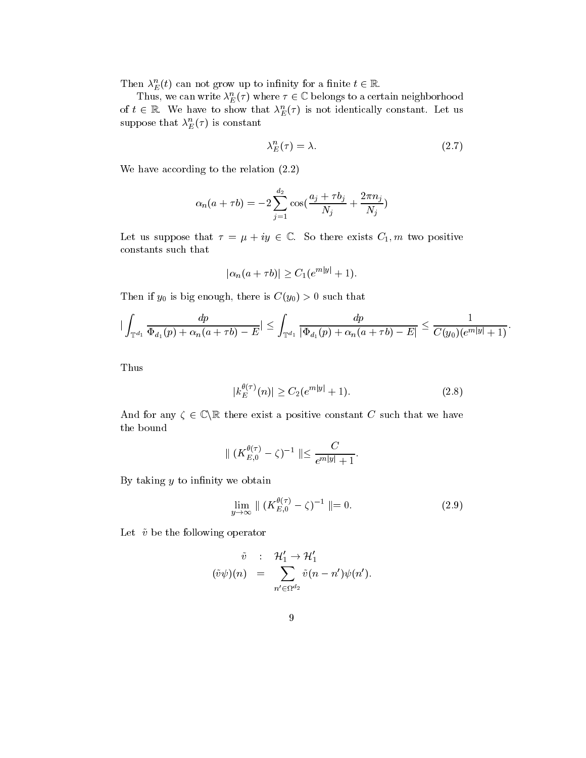Then  $\lambda_E^n(t)$  can not grow up to infinity for a finite  $t \in \mathbb{R}$ .

Thus, we can write  $\lambda_E^n(\tau)$  where  $\tau \in \mathbb{C}$  belongs to a certain neighborhood of  $t \in \mathbb{R}$ . We have to show that  $\lambda_E^n(\tau)$  is not identically constant. Let us suppose that  $\lambda_{E}^{n}(\tau)$  is constant

$$
\lambda_E^n(\tau) = \lambda. \tag{2.7}
$$

We have according to the relation (2.2)

$$
\alpha_n(a+\tau b)=-2\sum_{j=1}^{d_2}\cos(\frac{a_j+\tau b_j}{N_j}+\frac{2\pi n_j}{N_j})
$$

Let us suppose that  $\tau = \mu + iy \in \mathbb{C}$ . So there exists  $C_1$ , m two positive constants such that

$$
|\alpha_n(a+\tau b)| \ge C_1(e^{m|y|}+1).
$$

Then if  $y_0$  is big enough, there is  $C(y_0) > 0$  such that

$$
|\int_{\mathbb{T}^{d_1}}\frac{dp}{\Phi_{d_1}(p)+\alpha_n(a+\tau b)-E}|\leq \int_{\mathbb{T}^{d_1}}\frac{dp}{|\Phi_{d_1}(p)+\alpha_n(a+\tau b)-E|}\leq \frac{1}{C(y_0)(e^{m|y|}+1)}.
$$

Thus

$$
|k_E^{\theta(\tau)}(n)| \ge C_2(e^{m|y|} + 1). \tag{2.8}
$$

And for any  $\zeta \in \mathbb{C} \backslash \mathbb{R}$  there exist a positive constant C such that we have the bound

$$
\| (K_{E,0}^{\theta(\tau)} - \zeta)^{-1} \| \leq \frac{C}{e^{m|y|} + 1}.
$$

By taking  $y$  to infinity we obtain

$$
\lim_{y \to \infty} \parallel (K_{E,0}^{\theta(\tau)} - \zeta)^{-1} \parallel = 0. \tag{2.9}
$$

Let  $\tilde{v}$  be the following operator

$$
\tilde{v} : \mathcal{H}'_1 \to \mathcal{H}'_1
$$
  

$$
(\tilde{v}\psi)(n) = \sum_{n' \in \Omega^{d_2}} \tilde{v}(n - n')\psi(n').
$$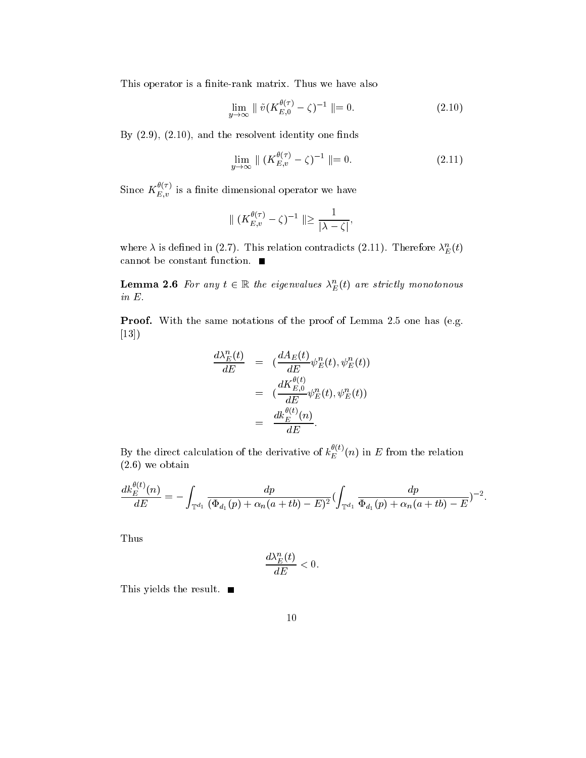This operator is a finite-rank matrix. Thus we have also

$$
\lim_{y \to \infty} \parallel \tilde{v}(K_{E,0}^{\theta(\tau)} - \zeta)^{-1} \parallel = 0. \tag{2.10}
$$

By  $(2.9)$ ,  $(2.10)$ , and the resolvent identity one finds

$$
\lim_{y \to \infty} \parallel (K_{E,v}^{\theta(\tau)} - \zeta)^{-1} \parallel = 0. \tag{2.11}
$$

Since  $K_{E,v}^{\sim \sim}$  is a finite dimensional operator we have

$$
\parallel (K_{E,v}^{\theta(\tau)}-\zeta)^{-1}\parallel\geq\frac{1}{\vert\lambda-\zeta\vert},
$$

where  $\lambda$  is defined in (2.7). This relation contradicts (2.11). Therefore  $\lambda_E^n(t)$ cannot be constant function.

**Lemma 2.6** For any  $t \in \mathbb{R}$  the eigenvalues  $\lambda_E^n(t)$  are strictly monotonous in E.

Proof. With the same notations of the proof of Lemma 2.5 one has (e.g. [13])

$$
\frac{d\lambda_E^n(t)}{dE} = \left(\frac{dA_E(t)}{dE}\psi_E^n(t), \psi_E^n(t)\right)
$$

$$
= \left(\frac{dK_{E,0}^{\theta(t)}}{dE}\psi_E^n(t), \psi_E^n(t)\right)
$$

$$
= \frac{dk_E^{\theta(t)}(n)}{dE}.
$$

By the direct calculation of the derivative of  $k_E^{\rightarrow}(n)$  in  $E$  from the relation (2.6) we obtain

$$
\frac{dk_E^{\theta(t)}(n)}{dE} = -\int_{\mathbb{T}^{d_1}} \frac{dp}{(\Phi_{d_1}(p) + \alpha_n(a+tb) - E)^2} (\int_{\mathbb{T}^{d_1}} \frac{dp}{\Phi_{d_1}(p) + \alpha_n(a+tb) - E})^{-2}.
$$

Thus

$$
\frac{d\lambda_E^n(t)}{dE} < 0.
$$

This yields the result.  $\blacksquare$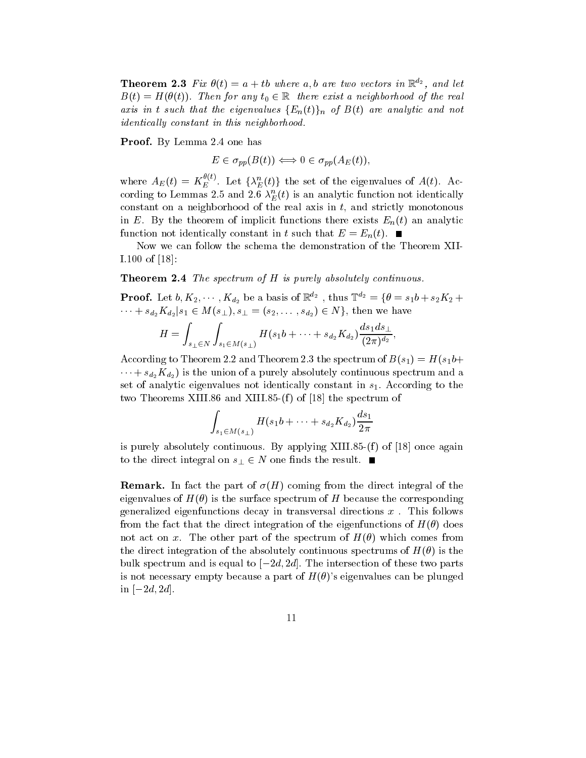**Theorem 2.3** Fix  $\sigma(t) = a + i\sigma$  where a, o are two vectors in  $\mathbb{R}^2$ , and let  $B(t) = H(\theta(t))$ . Then for any  $t_0 \in \mathbb{R}$  there exist a neighborhood of the real axis in t such that the eigenvalues  ${E_n(t)}_n$  of  $B(t)$  are analytic and not identically constant in this neighborhood.

Proof. By Lemma 2.4 one has

$$
E \in \sigma_{pp}(B(t)) \Longleftrightarrow 0 \in \sigma_{pp}(A_E(t)),
$$

where  $A_E(t) = K_E^{\nu(t)}$ . Let  $\{\lambda_E^n(t)\}\$ the set of the eigenvalues of  $A(t)$ . According to Lemmas 2.5 and 2.6  $\lambda_E^{n}(t)$  is an analytic function not identically constant on a neighborhood of the real axis in  $t$ , and strictly monotonous in E. By the theorem of implicit functions there exists  $E_n(t)$  an analytic function not identically constant in t such that  $E = E_n(t)$ .

Now we can follow the schema the demonstration of the Theorem XII-I.100 of [18]:

**Theorem 2.4** The spectrum of  $H$  is purely absolutely continuous.

**Proof.** Let  $b, K_2, \cdots, K_{d_2}$  be a basis of  $\mathbb{R}^{d_2}$  , thus  $\mathbb{T}^{d_2} = \{\theta = s_1 b + s_2 K_2 + \cdots\}$  $\dots + s_{d_2} K_{d_2} | s_1 \in M(s_+), s_+ = (s_2, \dots, s_{d_2}) \in N$ , then we have

$$
H = \int_{s_{\perp} \in N} \int_{s_1 \in M(s_{\perp})} H(s_1 b + \cdots + s_{d_2} K_{d_2}) \frac{ds_1 ds_{\perp}}{(2\pi)^{d_2}},
$$

According to Theorem 2.2 and Theorem 2.3 the spectrum of  $B(s_1) = H(s_1b +$  $\cdots + s_{d_2}K_{d_2}$  is the union of a purely absolutely continuous spectrum and a set of analytic eigenvalues not identically constant in  $s<sub>1</sub>$ . According to the two Theorems XIII.86 and XIII.85-(f) of [18] the spectrum of

$$
\int_{s_1 \in M(s_1)} H(s_1 b + \dots + s_{d_2} K_{d_2}) \frac{ds_1}{2\pi}
$$

is purely absolutely continuous. By applying XIII.85- $(f)$  of [18] once again to the direct integral on  $s_{\perp} \in N$  one finds the result.  $\blacksquare$ 

**Remark.** In fact the part of  $\sigma(H)$  coming from the direct integral of the eigenvalues of  $H(\theta)$  is the surface spectrum of H because the corresponding generalized eigenfunctions decay in transversal directions  $x$ . This follows from the fact that the direct integration of the eigenfunctions of  $H(\theta)$  does not act on x. The other part of the spectrum of  $H(\theta)$  which comes from the direct integration of the absolutely continuous spectrums of  $H(\theta)$  is the bulk spectrum and is equal to  $[-2d, 2d]$ . The intersection of these two parts is not necessary empty because a part of  $H(\theta)$ 's eigenvalues can be plunged in  $[-2d, 2d]$ .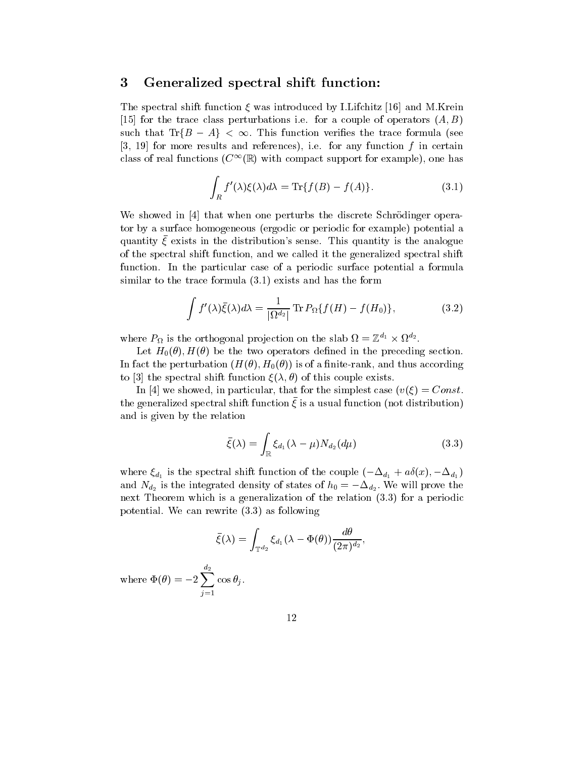### <sup>3</sup> Generalized spectral shift function:

The spectral shift function  $\xi$  was introduced by I.Lifchitz [16] and M.Krein [15] for the trace class perturbations i.e. for a couple of operators  $(A, B)$ such that  $\text{Tr}\{B-A\} < \infty$ . This function verifies the trace formula (see  $[3, 19]$  for more results and references), i.e. for any function f in certain class of real functions  $(C^{\infty}(\mathbb{R})$  with compact support for example), one has

$$
\int_{R} f'(\lambda)\xi(\lambda)d\lambda = \text{Tr}\{f(B) - f(A)\}.
$$
\n(3.1)

We showed in [4] that when one perturbs the discrete Schrödinger operator by a surface homogeneous (ergodic or periodic for example) potential a quantity  $\xi$  exists in the distribution's sense. This quantity is the analogue of the spectral shift function, and we called it the generalized spectral shift function. In the particular case of a periodic surface potential a formula similar to the trace formula (3.1) exists and has the form

$$
\int f'(\lambda)\bar{\xi}(\lambda)d\lambda = \frac{1}{|\Omega^{d_2}|}\operatorname{Tr} P_{\Omega}\{f(H) - f(H_0)\},\tag{3.2}
$$

where  $P_{\Omega}$  is the orthogonal projection on the slab  $\Omega = \mathbb{Z}^{\alpha_1} \times \Omega^{\alpha_2}$ .

Let  $H_0(\theta)$ ,  $H(\theta)$  be the two operators defined in the preceding section. In fact the perturbation  $(H(\theta), H_0(\theta))$  is of a finite-rank, and thus according to [3] the spectral shift function  $\xi(\lambda, \theta)$  of this couple exists.

In [4] we showed, in particular, that for the simplest case  $(v(\xi) = Const.$  $\mu$ ne generalized spectral shift function  $\zeta$  is a usual function (not distribution) and is given by the relation

$$
\bar{\xi}(\lambda) = \int_{\mathbb{R}} \xi_{d_1}(\lambda - \mu) N_{d_2}(d\mu)
$$
\n(3.3)

where  $\zeta_{d_1}$  is the spectral shift function of the couple  $(-\Delta_{d_1} + a_0(x), -\Delta_{d_1})$ and  $N_{d2}$  is the integrated density of states of  $n_0 = -\Delta_{d2}$ . We will prove the next Theorem which is a generalization of the relation (3.3) for a periodic potential. We can rewrite (3.3) as following

$$
\bar{\xi}(\lambda)=\int_{\mathbb{T}^{d_2}}\xi_{d_1}(\lambda-\Phi(\theta))\frac{d\theta}{(2\pi)^{d_2}},
$$

where  $\Phi(\theta) = -2\sum_{i=1}^{n} \cos \theta_i$ . j=1 cos junior cost and the cost of the cost of the cost of the cost of the cost of the cost of the cost of the co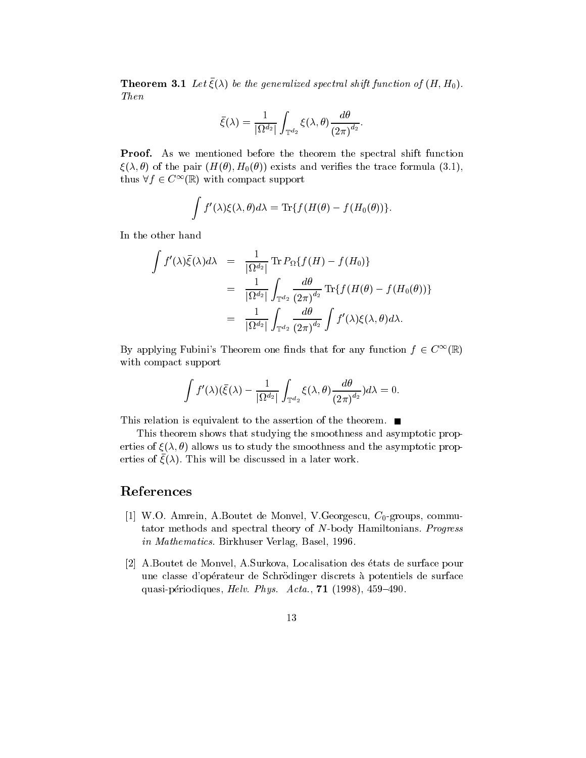**Theorem 3.1** Let  $\zeta(\lambda)$  be the generalized spectral shift function of  $(H, H_0)$ . Then

$$
\bar{\xi}(\lambda)=\frac{1}{|\Omega^{d_2}|}\int_{\mathbb{T}^{d_2}}\xi(\lambda,\theta)\frac{d\theta}{\left(2\pi\right)^{d_2}}.
$$

Proof. As we mentioned before the theorem the spectral shift function  $\xi(\lambda,\theta)$  of the pair  $(H(\theta), H_0(\theta))$  exists and verifies the trace formula (3.1), thus  $\forall f \in C^{\infty}(\mathbb{R})$  with compact support

$$
\int f'(\lambda) \xi(\lambda,\theta) d\lambda = {\rm Tr} \{ f(H(\theta)-f(H_0(\theta)) \}.
$$

In the other hand

$$
\int f'(\lambda)\bar{\xi}(\lambda)d\lambda = \frac{1}{|\Omega^{d_2}|}\operatorname{Tr} P_{\Omega}\{f(H) - f(H_0)\}
$$
\n
$$
= \frac{1}{|\Omega^{d_2}|}\int_{\mathbb{T}^{d_2}}\frac{d\theta}{(2\pi)^{d_2}}\operatorname{Tr}\{f(H(\theta) - f(H_0(\theta)))\}
$$
\n
$$
= \frac{1}{|\Omega^{d_2}|}\int_{\mathbb{T}^{d_2}}\frac{d\theta}{(2\pi)^{d_2}}\int f'(\lambda)\xi(\lambda,\theta)d\lambda.
$$

By applying Fubini's Theorem one finds that for any function  $f \in C^{\infty}(\mathbb{R})$ with compact support

$$
\int f'(\lambda) (\bar \xi(\lambda) - \frac{1}{|\Omega^{d_2}|} \int_{\mathbb{T}^{d_2}} \xi(\lambda,\theta) \frac{d\theta}{(2\pi)^{d_2}}) d\lambda = 0.
$$

This relation is equivalent to the assertion of the theorem.

This theorem shows that studying the smoothness and asymptotic properties of  $\xi(\lambda, \theta)$  allows us to study the smoothness and the asymptotic prop- $\epsilon$ rties of  $\zeta(\lambda)$ . This will be discussed in a later work.

# References

- [1] W.O. Amrein, A.Boutet de Monvel, V.Georgescu,  $C_0$ -groups, commutator methods and spectral theory of N-body Hamiltonians. Progress in Mathematics. Birkhuser Verlag, Basel, 1996.
- [2] A.Boutet de Monvel, A.Surkova, Localisation des etats de surface pour une classe d'opérateur de Schrödinger discrets à potentiels de surface quasi-périodiques, Helv. Phys.  $Acta., 71$  (1998), 459-490.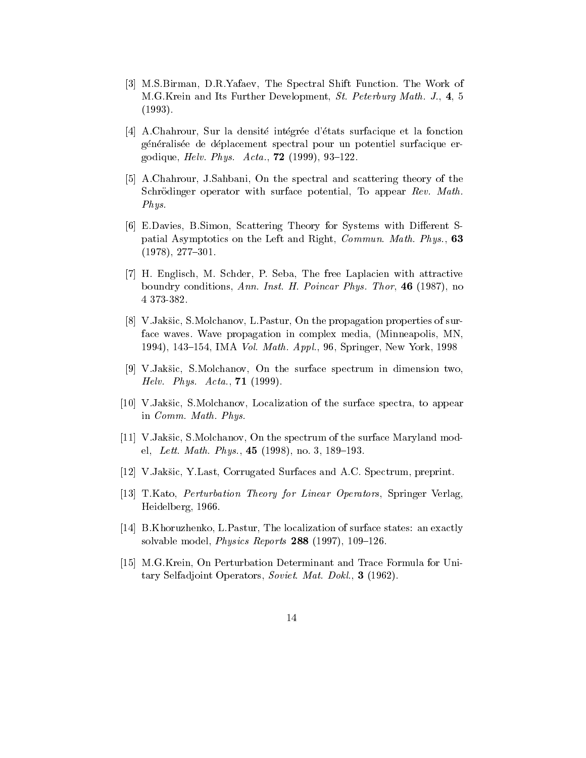- [3] M.S.Birman, D.R.Yafaev, The Spectral Shift Function. The Work of M.G.Krein and Its Further Development, St. Peterburg Math. J., 4, 5 (1993).
- [4] A.Chahrour, Sur la densite integree d'etats surfacique et la fonction généralisée de déplacement spectral pour un potentiel surfacique ergodique, *Helv. Phys. Acta.*,  $72$  (1999), 93-122.
- [5] A.Chahrour, J.Sahbani, On the spectral and scattering theory of the Schrödinger operator with surface potential, To appear Rev. Math. Phys.
- [6] E.Davies, B.Simon, Scattering Theory for Systems with Different Spatial Asymptotics on the Left and Right, Commun. Math. Phys., 63  $(1978), 277 - 301.$
- [7] H. Englisch, M. Schder, P. Seba, The free Laplacien with attractive boundry conditions, Ann. Inst. H. Poincar Phys. Thor, 46 (1987), no 4 373-382.
- [8] V.Jaksic, S.Molchanov, L.Pastur, On the propagation properties of surface waves. Wave propagation in complex media, (Minneapolis, MN, 1994), 143-154, IMA *Vol. Math. Appl.*, 96, Springer, New York, 1998
- [9] V.Jaksic, S.Molchanov, On the surface spectrum in dimension two, *Helv. Phys. Acta.*,  $71$  (1999).
- [10] V.Jaksic, S.Molchanov, Localization of the surface spectra, to appear in Comm. Math. Phys.
- [11] V.Jakšic, S.Molchanov, On the spectrum of the surface Maryland model, Lett. Math. Phys.,  $45$  (1998), no. 3, 189–193.
- [12] V.Jaksic, Y.Last, Corrugated Surfaces and A.C. Spectrum, preprint.
- [13] T.Kato, Perturbation Theory for Linear Operators, Springer Verlag, Heidelberg, 1966.
- [14] B.Khoruzhenko, L.Pastur, The localization of surface states: an exactly solvable model, *Physics Reports* 288 (1997), 109-126.
- [15] M.G.Krein, On Perturbation Determinant and Trace Formula for Unitary Selfadjoint Operators, Soviet. Mat. Dokl., 3 (1962).